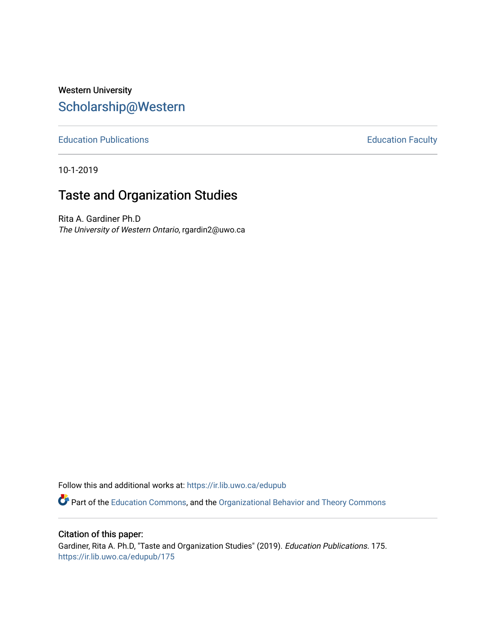# Western University [Scholarship@Western](https://ir.lib.uwo.ca/)

[Education Publications](https://ir.lib.uwo.ca/edupub) **Education** Faculty

10-1-2019

# Taste and Organization Studies

Rita A. Gardiner Ph.D The University of Western Ontario, rgardin2@uwo.ca

Follow this and additional works at: [https://ir.lib.uwo.ca/edupub](https://ir.lib.uwo.ca/edupub?utm_source=ir.lib.uwo.ca%2Fedupub%2F175&utm_medium=PDF&utm_campaign=PDFCoverPages) 

**P** Part of the [Education Commons](http://network.bepress.com/hgg/discipline/784?utm_source=ir.lib.uwo.ca%2Fedupub%2F175&utm_medium=PDF&utm_campaign=PDFCoverPages), and the Organizational Behavior and Theory Commons

Citation of this paper:

Gardiner, Rita A. Ph.D, "Taste and Organization Studies" (2019). Education Publications. 175. [https://ir.lib.uwo.ca/edupub/175](https://ir.lib.uwo.ca/edupub/175?utm_source=ir.lib.uwo.ca%2Fedupub%2F175&utm_medium=PDF&utm_campaign=PDFCoverPages)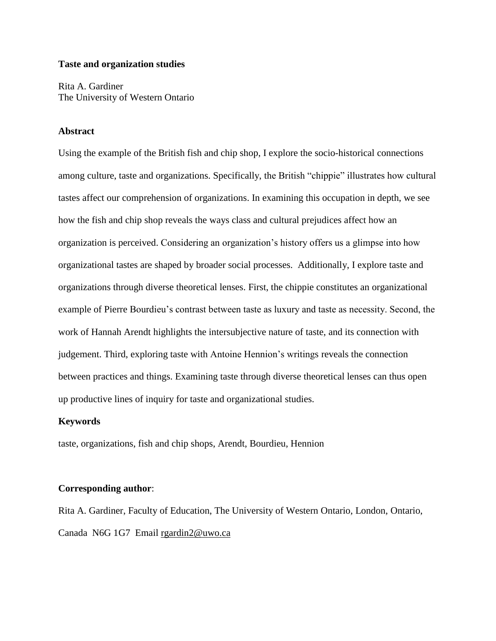### **Taste and organization studies**

Rita A. Gardiner The University of Western Ontario

### **Abstract**

Using the example of the British fish and chip shop, I explore the socio-historical connections among culture, taste and organizations. Specifically, the British "chippie" illustrates how cultural tastes affect our comprehension of organizations. In examining this occupation in depth, we see how the fish and chip shop reveals the ways class and cultural prejudices affect how an organization is perceived. Considering an organization's history offers us a glimpse into how organizational tastes are shaped by broader social processes. Additionally, I explore taste and organizations through diverse theoretical lenses. First, the chippie constitutes an organizational example of Pierre Bourdieu's contrast between taste as luxury and taste as necessity. Second, the work of Hannah Arendt highlights the intersubjective nature of taste, and its connection with judgement. Third, exploring taste with Antoine Hennion's writings reveals the connection between practices and things. Examining taste through diverse theoretical lenses can thus open up productive lines of inquiry for taste and organizational studies.

#### **Keywords**

taste, organizations, fish and chip shops, Arendt, Bourdieu, Hennion

#### **Corresponding author**:

Rita A. Gardiner, Faculty of Education, The University of Western Ontario, London, Ontario, Canada N6G 1G7 Email [rgardin2@uwo.ca](mailto:rgardin2@uwo.ca)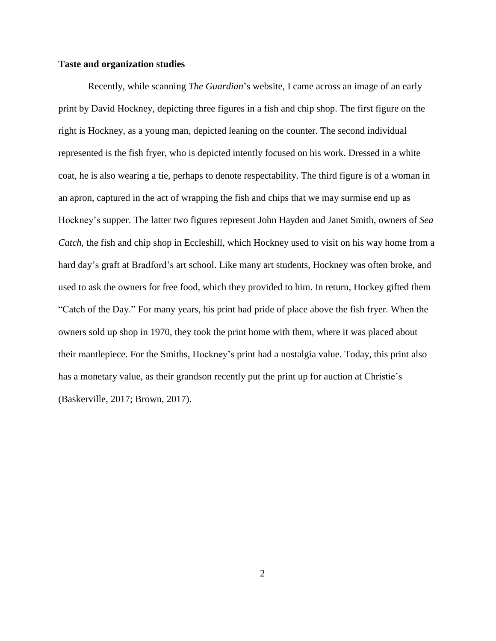#### **Taste and organization studies**

Recently, while scanning *The Guardian*'s website, I came across an image of an early print by David Hockney, depicting three figures in a fish and chip shop. The first figure on the right is Hockney, as a young man, depicted leaning on the counter. The second individual represented is the fish fryer, who is depicted intently focused on his work. Dressed in a white coat, he is also wearing a tie, perhaps to denote respectability. The third figure is of a woman in an apron, captured in the act of wrapping the fish and chips that we may surmise end up as Hockney's supper. The latter two figures represent John Hayden and Janet Smith, owners of *Sea Catch*, the fish and chip shop in Eccleshill, which Hockney used to visit on his way home from a hard day's graft at Bradford's art school. Like many art students, Hockney was often broke, and used to ask the owners for free food, which they provided to him. In return, Hockey gifted them "Catch of the Day." For many years, his print had pride of place above the fish fryer. When the owners sold up shop in 1970, they took the print home with them, where it was placed about their mantlepiece. For the Smiths, Hockney's print had a nostalgia value. Today, this print also has a monetary value, as their grandson recently put the print up for auction at Christie's (Baskerville, 2017; Brown, 2017).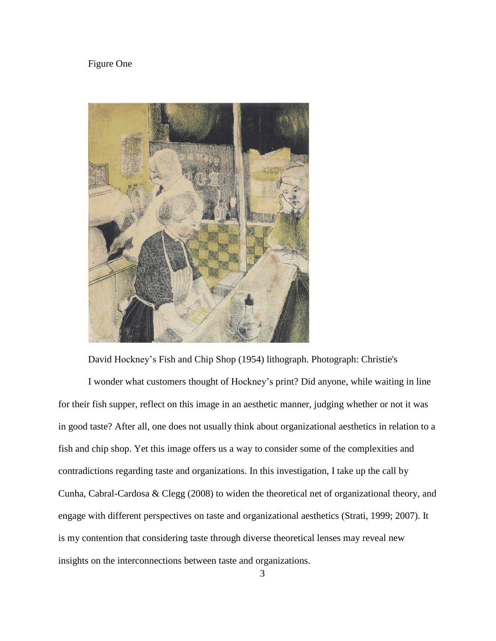## Figure One



David Hockney's Fish and Chip Shop (1954) lithograph. Photograph: Christie's

I wonder what customers thought of Hockney's print? Did anyone, while waiting in line for their fish supper, reflect on this image in an aesthetic manner, judging whether or not it was in good taste? After all, one does not usually think about organizational aesthetics in relation to a fish and chip shop. Yet this image offers us a way to consider some of the complexities and contradictions regarding taste and organizations. In this investigation, I take up the call by Cunha, Cabral-Cardosa & Clegg (2008) to widen the theoretical net of organizational theory, and engage with different perspectives on taste and organizational aesthetics (Strati, 1999; 2007). It is my contention that considering taste through diverse theoretical lenses may reveal new insights on the interconnections between taste and organizations.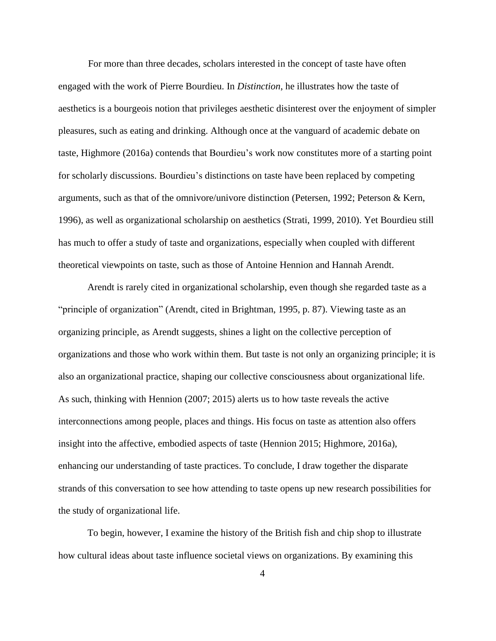For more than three decades, scholars interested in the concept of taste have often engaged with the work of Pierre Bourdieu. In *Distinction*, he illustrates how the taste of aesthetics is a bourgeois notion that privileges aesthetic disinterest over the enjoyment of simpler pleasures, such as eating and drinking. Although once at the vanguard of academic debate on taste, Highmore (2016a) contends that Bourdieu's work now constitutes more of a starting point for scholarly discussions. Bourdieu's distinctions on taste have been replaced by competing arguments, such as that of the omnivore/univore distinction (Petersen, 1992; Peterson & Kern, 1996), as well as organizational scholarship on aesthetics (Strati, 1999, 2010). Yet Bourdieu still has much to offer a study of taste and organizations, especially when coupled with different theoretical viewpoints on taste, such as those of Antoine Hennion and Hannah Arendt.

Arendt is rarely cited in organizational scholarship, even though she regarded taste as a "principle of organization" (Arendt, cited in Brightman, 1995, p. 87). Viewing taste as an organizing principle, as Arendt suggests, shines a light on the collective perception of organizations and those who work within them. But taste is not only an organizing principle; it is also an organizational practice, shaping our collective consciousness about organizational life. As such, thinking with Hennion (2007; 2015) alerts us to how taste reveals the active interconnections among people, places and things. His focus on taste as attention also offers insight into the affective, embodied aspects of taste (Hennion 2015; Highmore, 2016a), enhancing our understanding of taste practices. To conclude, I draw together the disparate strands of this conversation to see how attending to taste opens up new research possibilities for the study of organizational life.

To begin, however, I examine the history of the British fish and chip shop to illustrate how cultural ideas about taste influence societal views on organizations. By examining this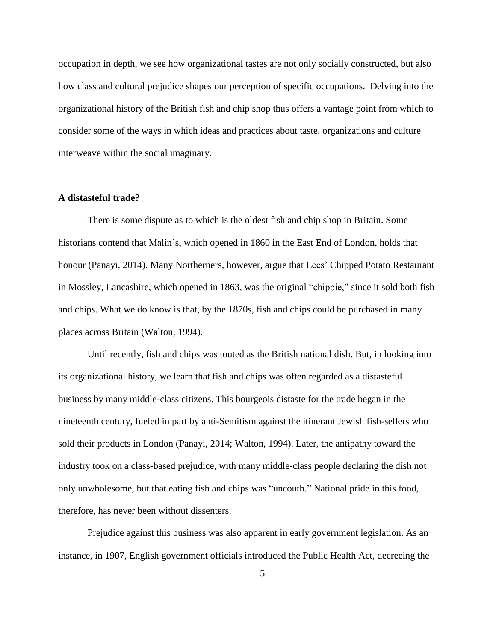occupation in depth, we see how organizational tastes are not only socially constructed, but also how class and cultural prejudice shapes our perception of specific occupations. Delving into the organizational history of the British fish and chip shop thus offers a vantage point from which to consider some of the ways in which ideas and practices about taste, organizations and culture interweave within the social imaginary.

#### **A distasteful trade?**

There is some dispute as to which is the oldest fish and chip shop in Britain. Some historians contend that Malin's, which opened in 1860 in the East End of London, holds that honour (Panayi, 2014). Many Northerners, however, argue that Lees' Chipped Potato Restaurant in Mossley, Lancashire, which opened in 1863, was the original "chippie," since it sold both fish and chips. What we do know is that, by the 1870s, fish and chips could be purchased in many places across Britain (Walton, 1994).

Until recently, fish and chips was touted as the British national dish. But, in looking into its organizational history, we learn that fish and chips was often regarded as a distasteful business by many middle-class citizens. This bourgeois distaste for the trade began in the nineteenth century, fueled in part by anti-Semitism against the itinerant Jewish fish-sellers who sold their products in London (Panayi, 2014; Walton, 1994). Later, the antipathy toward the industry took on a class-based prejudice, with many middle-class people declaring the dish not only unwholesome, but that eating fish and chips was "uncouth." National pride in this food, therefore, has never been without dissenters.

Prejudice against this business was also apparent in early government legislation. As an instance, in 1907, English government officials introduced the Public Health Act, decreeing the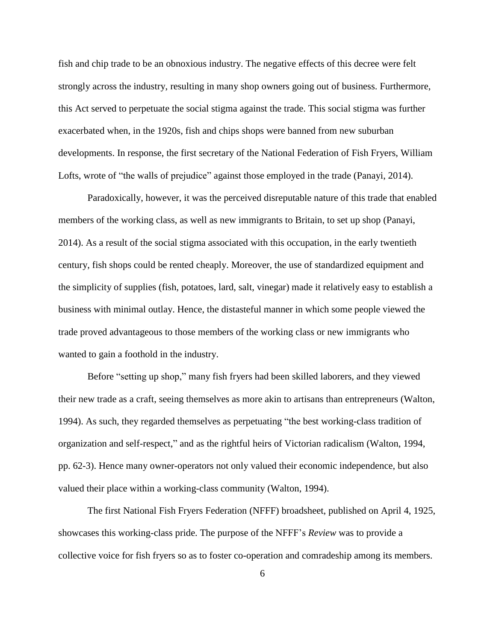fish and chip trade to be an obnoxious industry. The negative effects of this decree were felt strongly across the industry, resulting in many shop owners going out of business. Furthermore, this Act served to perpetuate the social stigma against the trade. This social stigma was further exacerbated when, in the 1920s, fish and chips shops were banned from new suburban developments. In response, the first secretary of the National Federation of Fish Fryers, William Lofts, wrote of "the walls of prejudice" against those employed in the trade (Panayi, 2014).

Paradoxically, however, it was the perceived disreputable nature of this trade that enabled members of the working class, as well as new immigrants to Britain, to set up shop (Panayi, 2014). As a result of the social stigma associated with this occupation, in the early twentieth century, fish shops could be rented cheaply. Moreover, the use of standardized equipment and the simplicity of supplies (fish, potatoes, lard, salt, vinegar) made it relatively easy to establish a business with minimal outlay. Hence, the distasteful manner in which some people viewed the trade proved advantageous to those members of the working class or new immigrants who wanted to gain a foothold in the industry.

Before "setting up shop," many fish fryers had been skilled laborers, and they viewed their new trade as a craft, seeing themselves as more akin to artisans than entrepreneurs (Walton, 1994). As such, they regarded themselves as perpetuating "the best working-class tradition of organization and self-respect," and as the rightful heirs of Victorian radicalism (Walton, 1994, pp. 62-3). Hence many owner-operators not only valued their economic independence, but also valued their place within a working-class community (Walton, 1994).

The first National Fish Fryers Federation (NFFF) broadsheet, published on April 4, 1925, showcases this working-class pride. The purpose of the NFFF's *Review* was to provide a collective voice for fish fryers so as to foster co-operation and comradeship among its members.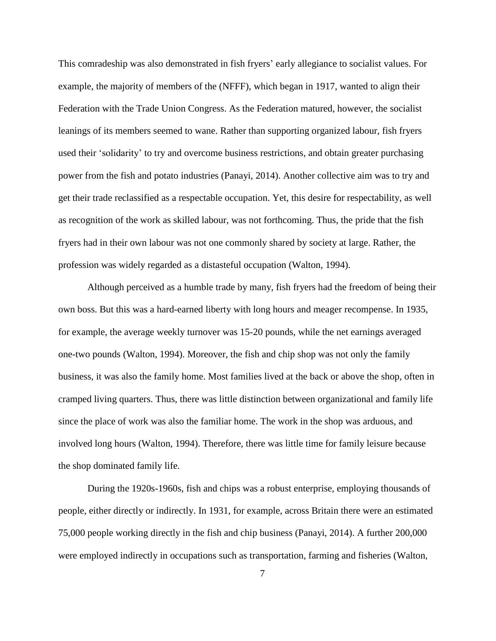This comradeship was also demonstrated in fish fryers' early allegiance to socialist values. For example, the majority of members of the (NFFF), which began in 1917, wanted to align their Federation with the Trade Union Congress. As the Federation matured, however, the socialist leanings of its members seemed to wane. Rather than supporting organized labour, fish fryers used their 'solidarity' to try and overcome business restrictions, and obtain greater purchasing power from the fish and potato industries (Panayi, 2014). Another collective aim was to try and get their trade reclassified as a respectable occupation. Yet, this desire for respectability, as well as recognition of the work as skilled labour, was not forthcoming. Thus, the pride that the fish fryers had in their own labour was not one commonly shared by society at large. Rather, the profession was widely regarded as a distasteful occupation (Walton, 1994).

Although perceived as a humble trade by many, fish fryers had the freedom of being their own boss. But this was a hard-earned liberty with long hours and meager recompense. In 1935, for example, the average weekly turnover was 15-20 pounds, while the net earnings averaged one-two pounds (Walton, 1994). Moreover, the fish and chip shop was not only the family business, it was also the family home. Most families lived at the back or above the shop, often in cramped living quarters. Thus, there was little distinction between organizational and family life since the place of work was also the familiar home. The work in the shop was arduous, and involved long hours (Walton, 1994). Therefore, there was little time for family leisure because the shop dominated family life.

During the 1920s-1960s, fish and chips was a robust enterprise, employing thousands of people, either directly or indirectly. In 1931, for example, across Britain there were an estimated 75,000 people working directly in the fish and chip business (Panayi, 2014). A further 200,000 were employed indirectly in occupations such as transportation, farming and fisheries (Walton,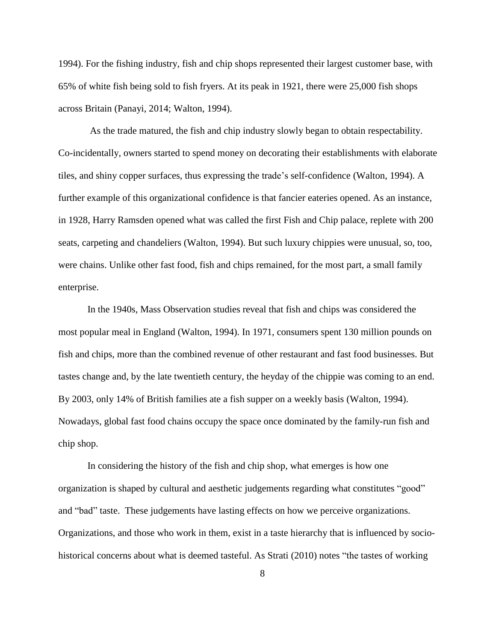1994). For the fishing industry, fish and chip shops represented their largest customer base, with 65% of white fish being sold to fish fryers. At its peak in 1921, there were 25,000 fish shops across Britain (Panayi, 2014; Walton, 1994).

As the trade matured, the fish and chip industry slowly began to obtain respectability. Co-incidentally, owners started to spend money on decorating their establishments with elaborate tiles, and shiny copper surfaces, thus expressing the trade's self-confidence (Walton, 1994). A further example of this organizational confidence is that fancier eateries opened. As an instance, in 1928, Harry Ramsden opened what was called the first Fish and Chip palace, replete with 200 seats, carpeting and chandeliers (Walton, 1994). But such luxury chippies were unusual, so, too, were chains. Unlike other fast food, fish and chips remained, for the most part, a small family enterprise.

In the 1940s, Mass Observation studies reveal that fish and chips was considered the most popular meal in England (Walton, 1994). In 1971, consumers spent 130 million pounds on fish and chips, more than the combined revenue of other restaurant and fast food businesses. But tastes change and, by the late twentieth century, the heyday of the chippie was coming to an end. By 2003, only 14% of British families ate a fish supper on a weekly basis (Walton, 1994). Nowadays, global fast food chains occupy the space once dominated by the family-run fish and chip shop.

In considering the history of the fish and chip shop, what emerges is how one organization is shaped by cultural and aesthetic judgements regarding what constitutes "good" and "bad" taste. These judgements have lasting effects on how we perceive organizations. Organizations, and those who work in them, exist in a taste hierarchy that is influenced by sociohistorical concerns about what is deemed tasteful. As Strati (2010) notes "the tastes of working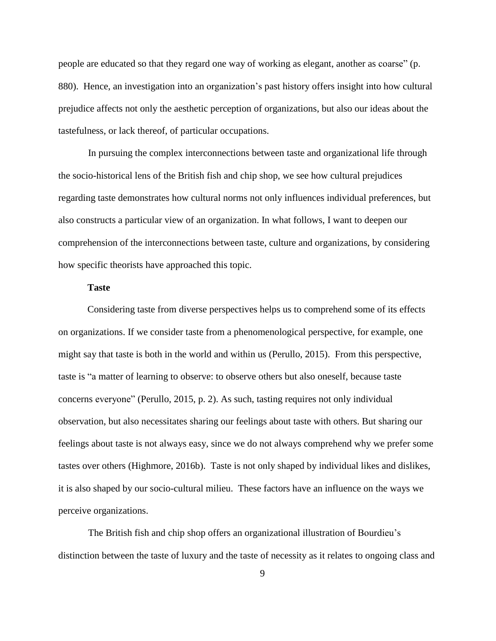people are educated so that they regard one way of working as elegant, another as coarse" (p. 880). Hence, an investigation into an organization's past history offers insight into how cultural prejudice affects not only the aesthetic perception of organizations, but also our ideas about the tastefulness, or lack thereof, of particular occupations.

In pursuing the complex interconnections between taste and organizational life through the socio-historical lens of the British fish and chip shop, we see how cultural prejudices regarding taste demonstrates how cultural norms not only influences individual preferences, but also constructs a particular view of an organization. In what follows, I want to deepen our comprehension of the interconnections between taste, culture and organizations, by considering how specific theorists have approached this topic.

### **Taste**

Considering taste from diverse perspectives helps us to comprehend some of its effects on organizations. If we consider taste from a phenomenological perspective, for example, one might say that taste is both in the world and within us (Perullo, 2015). From this perspective, taste is "a matter of learning to observe: to observe others but also oneself, because taste concerns everyone" (Perullo, 2015, p. 2). As such, tasting requires not only individual observation, but also necessitates sharing our feelings about taste with others. But sharing our feelings about taste is not always easy, since we do not always comprehend why we prefer some tastes over others (Highmore, 2016b). Taste is not only shaped by individual likes and dislikes, it is also shaped by our socio-cultural milieu. These factors have an influence on the ways we perceive organizations.

The British fish and chip shop offers an organizational illustration of Bourdieu's distinction between the taste of luxury and the taste of necessity as it relates to ongoing class and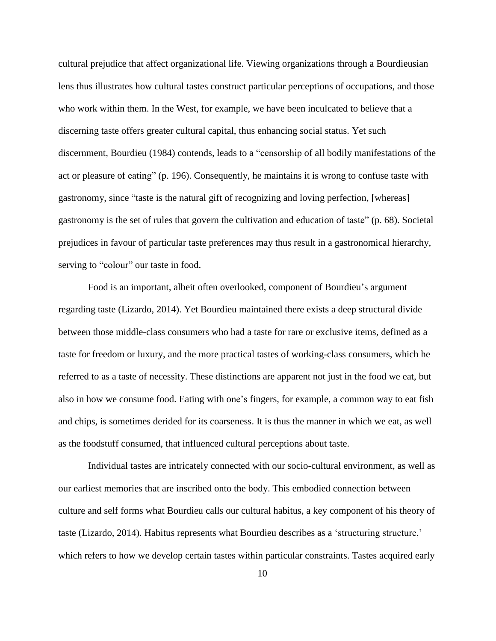cultural prejudice that affect organizational life. Viewing organizations through a Bourdieusian lens thus illustrates how cultural tastes construct particular perceptions of occupations, and those who work within them. In the West, for example, we have been inculcated to believe that a discerning taste offers greater cultural capital, thus enhancing social status. Yet such discernment, Bourdieu (1984) contends, leads to a "censorship of all bodily manifestations of the act or pleasure of eating" (p. 196). Consequently, he maintains it is wrong to confuse taste with gastronomy, since "taste is the natural gift of recognizing and loving perfection, [whereas] gastronomy is the set of rules that govern the cultivation and education of taste" (p. 68). Societal prejudices in favour of particular taste preferences may thus result in a gastronomical hierarchy, serving to "colour" our taste in food.

Food is an important, albeit often overlooked, component of Bourdieu's argument regarding taste (Lizardo, 2014). Yet Bourdieu maintained there exists a deep structural divide between those middle-class consumers who had a taste for rare or exclusive items, defined as a taste for freedom or luxury, and the more practical tastes of working-class consumers, which he referred to as a taste of necessity. These distinctions are apparent not just in the food we eat, but also in how we consume food. Eating with one's fingers, for example, a common way to eat fish and chips, is sometimes derided for its coarseness. It is thus the manner in which we eat, as well as the foodstuff consumed, that influenced cultural perceptions about taste.

Individual tastes are intricately connected with our socio-cultural environment, as well as our earliest memories that are inscribed onto the body. This embodied connection between culture and self forms what Bourdieu calls our cultural habitus, a key component of his theory of taste (Lizardo, 2014). Habitus represents what Bourdieu describes as a 'structuring structure,' which refers to how we develop certain tastes within particular constraints. Tastes acquired early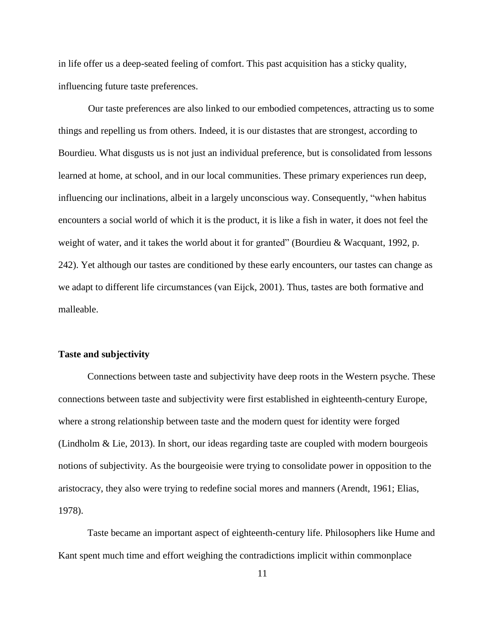in life offer us a deep-seated feeling of comfort. This past acquisition has a sticky quality, influencing future taste preferences.

Our taste preferences are also linked to our embodied competences, attracting us to some things and repelling us from others. Indeed, it is our distastes that are strongest, according to Bourdieu. What disgusts us is not just an individual preference, but is consolidated from lessons learned at home, at school, and in our local communities. These primary experiences run deep, influencing our inclinations, albeit in a largely unconscious way. Consequently, "when habitus encounters a social world of which it is the product, it is like a fish in water, it does not feel the weight of water, and it takes the world about it for granted" (Bourdieu & Wacquant, 1992, p. 242). Yet although our tastes are conditioned by these early encounters, our tastes can change as we adapt to different life circumstances (van Eijck, 2001). Thus, tastes are both formative and malleable.

#### **Taste and subjectivity**

Connections between taste and subjectivity have deep roots in the Western psyche. These connections between taste and subjectivity were first established in eighteenth-century Europe, where a strong relationship between taste and the modern quest for identity were forged (Lindholm & Lie, 2013). In short, our ideas regarding taste are coupled with modern bourgeois notions of subjectivity. As the bourgeoisie were trying to consolidate power in opposition to the aristocracy, they also were trying to redefine social mores and manners (Arendt, 1961; Elias, 1978).

Taste became an important aspect of eighteenth-century life. Philosophers like Hume and Kant spent much time and effort weighing the contradictions implicit within commonplace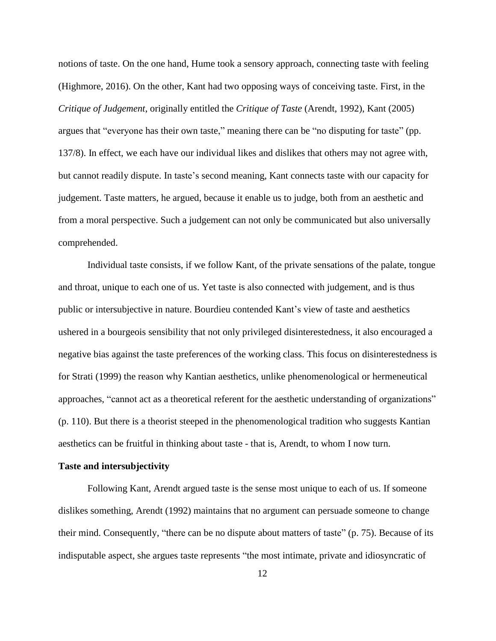notions of taste. On the one hand, Hume took a sensory approach, connecting taste with feeling (Highmore, 2016). On the other, Kant had two opposing ways of conceiving taste. First, in the *Critique of Judgement*, originally entitled the *Critique of Taste* (Arendt, 1992), Kant (2005) argues that "everyone has their own taste," meaning there can be "no disputing for taste" (pp. 137/8). In effect, we each have our individual likes and dislikes that others may not agree with, but cannot readily dispute. In taste's second meaning, Kant connects taste with our capacity for judgement. Taste matters, he argued, because it enable us to judge, both from an aesthetic and from a moral perspective. Such a judgement can not only be communicated but also universally comprehended.

Individual taste consists, if we follow Kant, of the private sensations of the palate, tongue and throat, unique to each one of us. Yet taste is also connected with judgement, and is thus public or intersubjective in nature. Bourdieu contended Kant's view of taste and aesthetics ushered in a bourgeois sensibility that not only privileged disinterestedness, it also encouraged a negative bias against the taste preferences of the working class. This focus on disinterestedness is for Strati (1999) the reason why Kantian aesthetics, unlike phenomenological or hermeneutical approaches, "cannot act as a theoretical referent for the aesthetic understanding of organizations" (p. 110). But there is a theorist steeped in the phenomenological tradition who suggests Kantian aesthetics can be fruitful in thinking about taste - that is, Arendt, to whom I now turn.

#### **Taste and intersubjectivity**

Following Kant, Arendt argued taste is the sense most unique to each of us. If someone dislikes something, Arendt (1992) maintains that no argument can persuade someone to change their mind. Consequently, "there can be no dispute about matters of taste" (p. 75). Because of its indisputable aspect, she argues taste represents "the most intimate, private and idiosyncratic of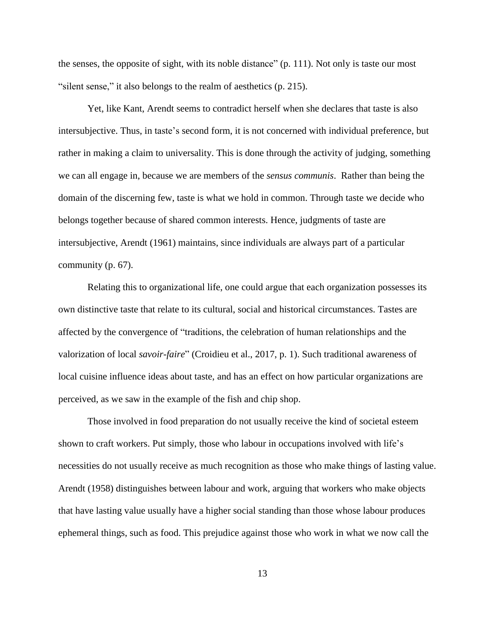the senses, the opposite of sight, with its noble distance" (p. 111). Not only is taste our most "silent sense," it also belongs to the realm of aesthetics (p. 215).

Yet, like Kant, Arendt seems to contradict herself when she declares that taste is also intersubjective. Thus, in taste's second form, it is not concerned with individual preference, but rather in making a claim to universality. This is done through the activity of judging, something we can all engage in, because we are members of the *sensus communis*. Rather than being the domain of the discerning few, taste is what we hold in common. Through taste we decide who belongs together because of shared common interests. Hence, judgments of taste are intersubjective, Arendt (1961) maintains, since individuals are always part of a particular community (p. 67).

Relating this to organizational life, one could argue that each organization possesses its own distinctive taste that relate to its cultural, social and historical circumstances. Tastes are affected by the convergence of "traditions, the celebration of human relationships and the valorization of local *savoir-faire*" (Croidieu et al., 2017, p. 1). Such traditional awareness of local cuisine influence ideas about taste, and has an effect on how particular organizations are perceived, as we saw in the example of the fish and chip shop.

Those involved in food preparation do not usually receive the kind of societal esteem shown to craft workers. Put simply, those who labour in occupations involved with life's necessities do not usually receive as much recognition as those who make things of lasting value. Arendt (1958) distinguishes between labour and work, arguing that workers who make objects that have lasting value usually have a higher social standing than those whose labour produces ephemeral things, such as food. This prejudice against those who work in what we now call the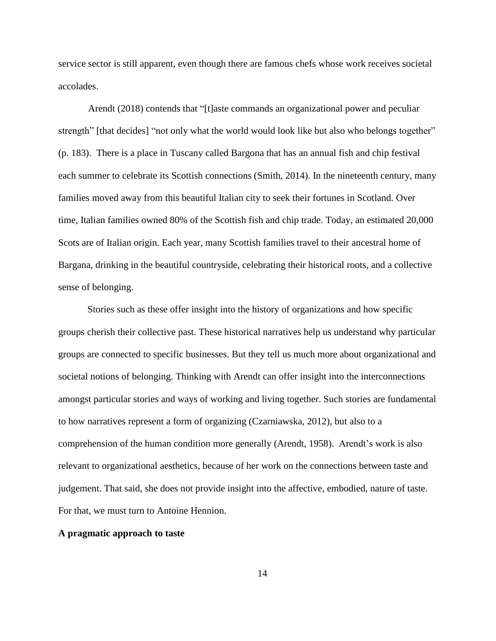service sector is still apparent, even though there are famous chefs whose work receives societal accolades.

Arendt (2018) contends that "[t]aste commands an organizational power and peculiar strength" [that decides] "not only what the world would look like but also who belongs together" (p. 183). There is a place in Tuscany called Bargona that has an annual fish and chip festival each summer to celebrate its Scottish connections (Smith, 2014). In the nineteenth century, many families moved away from this beautiful Italian city to seek their fortunes in Scotland. Over time, Italian families owned 80% of the Scottish fish and chip trade. Today, an estimated 20,000 Scots are of Italian origin. Each year, many Scottish families travel to their ancestral home of Bargana, drinking in the beautiful countryside, celebrating their historical roots, and a collective sense of belonging.

Stories such as these offer insight into the history of organizations and how specific groups cherish their collective past. These historical narratives help us understand why particular groups are connected to specific businesses. But they tell us much more about organizational and societal notions of belonging. Thinking with Arendt can offer insight into the interconnections amongst particular stories and ways of working and living together. Such stories are fundamental to how narratives represent a form of organizing (Czarniawska, 2012), but also to a comprehension of the human condition more generally (Arendt, 1958). Arendt's work is also relevant to organizational aesthetics, because of her work on the connections between taste and judgement. That said, she does not provide insight into the affective, embodied, nature of taste. For that, we must turn to Antoine Hennion.

### **A pragmatic approach to taste**

14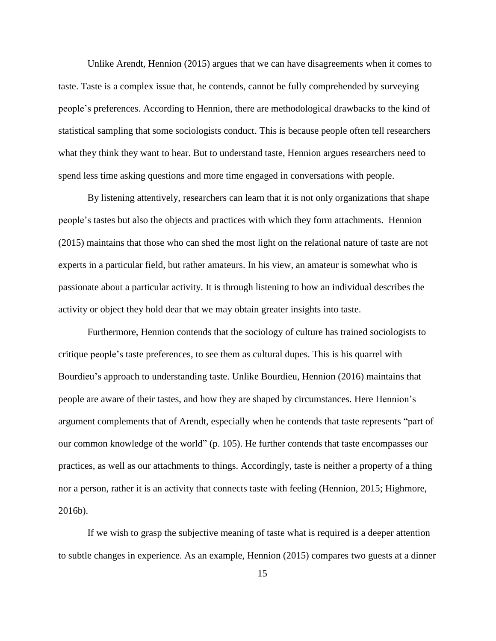Unlike Arendt, Hennion (2015) argues that we can have disagreements when it comes to taste. Taste is a complex issue that, he contends, cannot be fully comprehended by surveying people's preferences. According to Hennion, there are methodological drawbacks to the kind of statistical sampling that some sociologists conduct. This is because people often tell researchers what they think they want to hear. But to understand taste, Hennion argues researchers need to spend less time asking questions and more time engaged in conversations with people.

By listening attentively, researchers can learn that it is not only organizations that shape people's tastes but also the objects and practices with which they form attachments. Hennion (2015) maintains that those who can shed the most light on the relational nature of taste are not experts in a particular field, but rather amateurs. In his view, an amateur is somewhat who is passionate about a particular activity. It is through listening to how an individual describes the activity or object they hold dear that we may obtain greater insights into taste.

Furthermore, Hennion contends that the sociology of culture has trained sociologists to critique people's taste preferences, to see them as cultural dupes. This is his quarrel with Bourdieu's approach to understanding taste. Unlike Bourdieu, Hennion (2016) maintains that people are aware of their tastes, and how they are shaped by circumstances. Here Hennion's argument complements that of Arendt, especially when he contends that taste represents "part of our common knowledge of the world" (p. 105). He further contends that taste encompasses our practices, as well as our attachments to things. Accordingly, taste is neither a property of a thing nor a person, rather it is an activity that connects taste with feeling (Hennion, 2015; Highmore, 2016b).

If we wish to grasp the subjective meaning of taste what is required is a deeper attention to subtle changes in experience. As an example, Hennion (2015) compares two guests at a dinner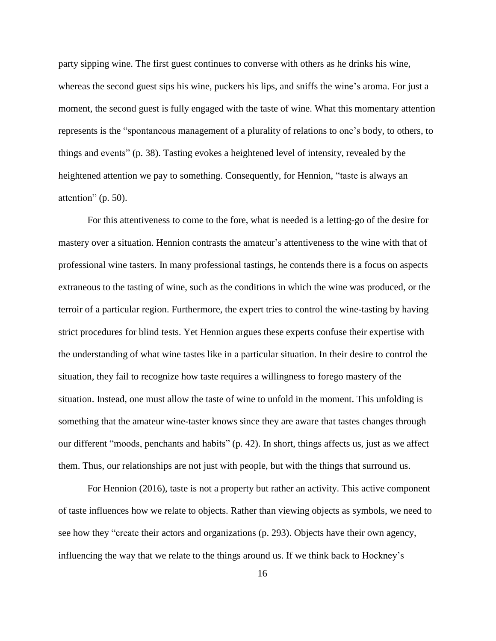party sipping wine. The first guest continues to converse with others as he drinks his wine, whereas the second guest sips his wine, puckers his lips, and sniffs the wine's aroma. For just a moment, the second guest is fully engaged with the taste of wine. What this momentary attention represents is the "spontaneous management of a plurality of relations to one's body, to others, to things and events" (p. 38). Tasting evokes a heightened level of intensity, revealed by the heightened attention we pay to something. Consequently, for Hennion, "taste is always an attention" (p. 50).

For this attentiveness to come to the fore, what is needed is a letting-go of the desire for mastery over a situation. Hennion contrasts the amateur's attentiveness to the wine with that of professional wine tasters. In many professional tastings, he contends there is a focus on aspects extraneous to the tasting of wine, such as the conditions in which the wine was produced, or the terroir of a particular region. Furthermore, the expert tries to control the wine-tasting by having strict procedures for blind tests. Yet Hennion argues these experts confuse their expertise with the understanding of what wine tastes like in a particular situation. In their desire to control the situation, they fail to recognize how taste requires a willingness to forego mastery of the situation. Instead, one must allow the taste of wine to unfold in the moment. This unfolding is something that the amateur wine-taster knows since they are aware that tastes changes through our different "moods, penchants and habits" (p. 42). In short, things affects us, just as we affect them. Thus, our relationships are not just with people, but with the things that surround us.

For Hennion (2016), taste is not a property but rather an activity. This active component of taste influences how we relate to objects. Rather than viewing objects as symbols, we need to see how they "create their actors and organizations (p. 293). Objects have their own agency, influencing the way that we relate to the things around us. If we think back to Hockney's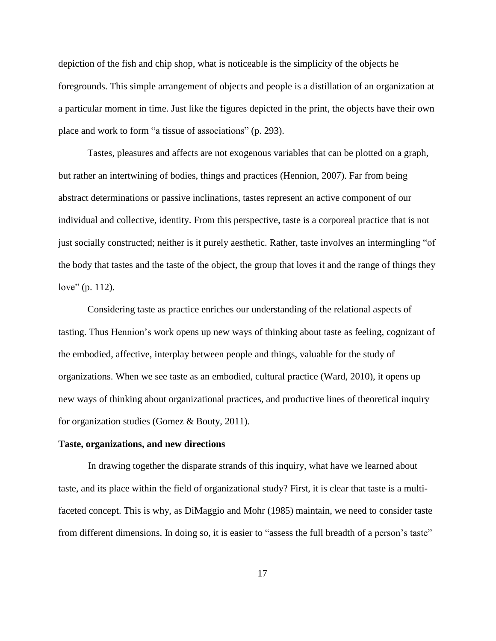depiction of the fish and chip shop, what is noticeable is the simplicity of the objects he foregrounds. This simple arrangement of objects and people is a distillation of an organization at a particular moment in time. Just like the figures depicted in the print, the objects have their own place and work to form "a tissue of associations" (p. 293).

Tastes, pleasures and affects are not exogenous variables that can be plotted on a graph, but rather an intertwining of bodies, things and practices (Hennion, 2007). Far from being abstract determinations or passive inclinations, tastes represent an active component of our individual and collective, identity. From this perspective, taste is a corporeal practice that is not just socially constructed; neither is it purely aesthetic. Rather, taste involves an intermingling "of the body that tastes and the taste of the object, the group that loves it and the range of things they love" (p. 112).

Considering taste as practice enriches our understanding of the relational aspects of tasting. Thus Hennion's work opens up new ways of thinking about taste as feeling, cognizant of the embodied, affective, interplay between people and things, valuable for the study of organizations. When we see taste as an embodied, cultural practice (Ward, 2010), it opens up new ways of thinking about organizational practices, and productive lines of theoretical inquiry for organization studies (Gomez & Bouty, 2011).

#### **Taste, organizations, and new directions**

In drawing together the disparate strands of this inquiry, what have we learned about taste, and its place within the field of organizational study? First, it is clear that taste is a multifaceted concept. This is why, as DiMaggio and Mohr (1985) maintain, we need to consider taste from different dimensions. In doing so, it is easier to "assess the full breadth of a person's taste"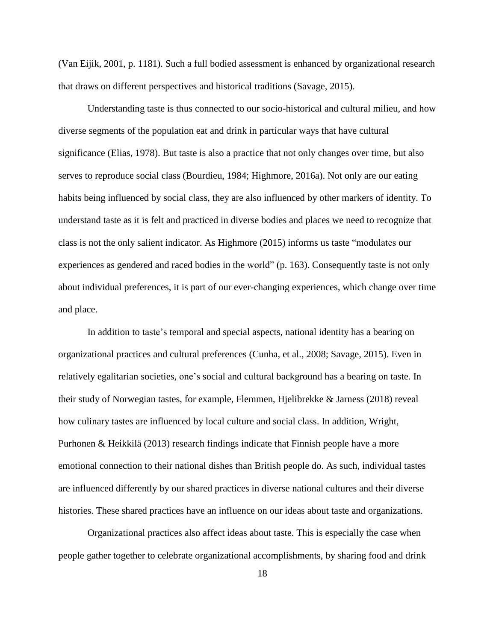(Van Eijik, 2001, p. 1181). Such a full bodied assessment is enhanced by organizational research that draws on different perspectives and historical traditions (Savage, 2015).

Understanding taste is thus connected to our socio-historical and cultural milieu, and how diverse segments of the population eat and drink in particular ways that have cultural significance (Elias, 1978). But taste is also a practice that not only changes over time, but also serves to reproduce social class (Bourdieu, 1984; Highmore, 2016a). Not only are our eating habits being influenced by social class, they are also influenced by other markers of identity. To understand taste as it is felt and practiced in diverse bodies and places we need to recognize that class is not the only salient indicator. As Highmore (2015) informs us taste "modulates our experiences as gendered and raced bodies in the world" (p. 163). Consequently taste is not only about individual preferences, it is part of our ever-changing experiences, which change over time and place.

In addition to taste's temporal and special aspects, national identity has a bearing on organizational practices and cultural preferences (Cunha, et al., 2008; Savage, 2015). Even in relatively egalitarian societies, one's social and cultural background has a bearing on taste. In their study of Norwegian tastes, for example, Flemmen, Hjelibrekke & Jarness (2018) reveal how culinary tastes are influenced by local culture and social class. In addition, Wright, Purhonen & Heikkilä (2013) research findings indicate that Finnish people have a more emotional connection to their national dishes than British people do. As such, individual tastes are influenced differently by our shared practices in diverse national cultures and their diverse histories. These shared practices have an influence on our ideas about taste and organizations.

Organizational practices also affect ideas about taste. This is especially the case when people gather together to celebrate organizational accomplishments, by sharing food and drink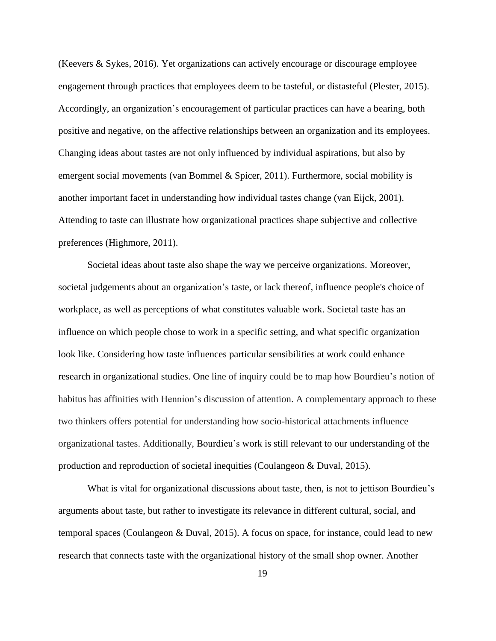(Keevers & Sykes, 2016). Yet organizations can actively encourage or discourage employee engagement through practices that employees deem to be tasteful, or distasteful (Plester, 2015). Accordingly, an organization's encouragement of particular practices can have a bearing, both positive and negative, on the affective relationships between an organization and its employees. Changing ideas about tastes are not only influenced by individual aspirations, but also by emergent social movements (van Bommel & Spicer, 2011). Furthermore, social mobility is another important facet in understanding how individual tastes change (van Eijck, 2001). Attending to taste can illustrate how organizational practices shape subjective and collective preferences (Highmore, 2011).

Societal ideas about taste also shape the way we perceive organizations. Moreover, societal judgements about an organization's taste, or lack thereof, influence people's choice of workplace, as well as perceptions of what constitutes valuable work. Societal taste has an influence on which people chose to work in a specific setting, and what specific organization look like. Considering how taste influences particular sensibilities at work could enhance research in organizational studies. One line of inquiry could be to map how Bourdieu's notion of habitus has affinities with Hennion's discussion of attention. A complementary approach to these two thinkers offers potential for understanding how socio-historical attachments influence organizational tastes. Additionally, Bourdieu's work is still relevant to our understanding of the production and reproduction of societal inequities (Coulangeon & Duval, 2015).

What is vital for organizational discussions about taste, then, is not to jettison Bourdieu's arguments about taste, but rather to investigate its relevance in different cultural, social, and temporal spaces (Coulangeon & Duval, 2015). A focus on space, for instance, could lead to new research that connects taste with the organizational history of the small shop owner. Another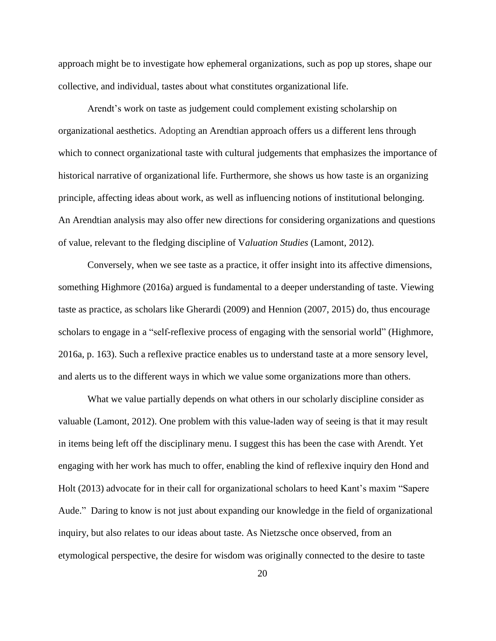approach might be to investigate how ephemeral organizations, such as pop up stores, shape our collective, and individual, tastes about what constitutes organizational life.

Arendt's work on taste as judgement could complement existing scholarship on organizational aesthetics. Adopting an Arendtian approach offers us a different lens through which to connect organizational taste with cultural judgements that emphasizes the importance of historical narrative of organizational life. Furthermore, she shows us how taste is an organizing principle, affecting ideas about work, as well as influencing notions of institutional belonging. An Arendtian analysis may also offer new directions for considering organizations and questions of value, relevant to the fledging discipline of V*aluation Studies* (Lamont, 2012).

Conversely, when we see taste as a practice, it offer insight into its affective dimensions, something Highmore (2016a) argued is fundamental to a deeper understanding of taste. Viewing taste as practice, as scholars like Gherardi (2009) and Hennion (2007, 2015) do, thus encourage scholars to engage in a "self-reflexive process of engaging with the sensorial world" (Highmore, 2016a, p. 163). Such a reflexive practice enables us to understand taste at a more sensory level, and alerts us to the different ways in which we value some organizations more than others.

What we value partially depends on what others in our scholarly discipline consider as valuable (Lamont, 2012). One problem with this value-laden way of seeing is that it may result in items being left off the disciplinary menu. I suggest this has been the case with Arendt. Yet engaging with her work has much to offer, enabling the kind of reflexive inquiry den Hond and Holt (2013) advocate for in their call for organizational scholars to heed Kant's maxim "Sapere Aude." Daring to know is not just about expanding our knowledge in the field of organizational inquiry, but also relates to our ideas about taste. As Nietzsche once observed, from an etymological perspective, the desire for wisdom was originally connected to the desire to taste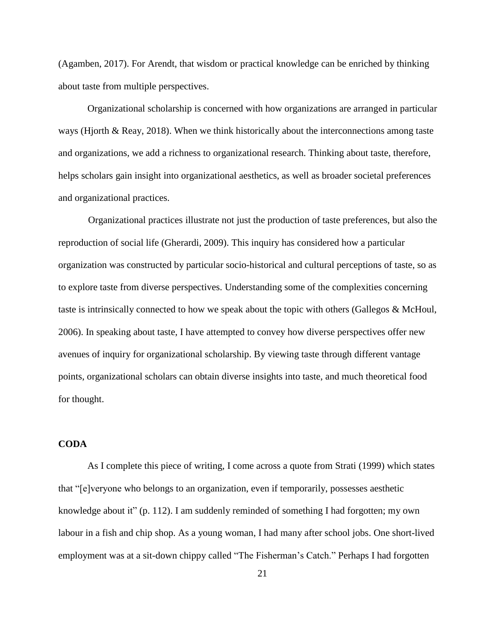(Agamben, 2017). For Arendt, that wisdom or practical knowledge can be enriched by thinking about taste from multiple perspectives.

Organizational scholarship is concerned with how organizations are arranged in particular ways (Hjorth & Reay, 2018). When we think historically about the interconnections among taste and organizations, we add a richness to organizational research. Thinking about taste, therefore, helps scholars gain insight into organizational aesthetics, as well as broader societal preferences and organizational practices.

Organizational practices illustrate not just the production of taste preferences, but also the reproduction of social life (Gherardi, 2009). This inquiry has considered how a particular organization was constructed by particular socio-historical and cultural perceptions of taste, so as to explore taste from diverse perspectives. Understanding some of the complexities concerning taste is intrinsically connected to how we speak about the topic with others (Gallegos & McHoul, 2006). In speaking about taste, I have attempted to convey how diverse perspectives offer new avenues of inquiry for organizational scholarship. By viewing taste through different vantage points, organizational scholars can obtain diverse insights into taste, and much theoretical food for thought.

## **CODA**

As I complete this piece of writing, I come across a quote from Strati (1999) which states that "[e]veryone who belongs to an organization, even if temporarily, possesses aesthetic knowledge about it" (p. 112). I am suddenly reminded of something I had forgotten; my own labour in a fish and chip shop. As a young woman, I had many after school jobs. One short-lived employment was at a sit-down chippy called "The Fisherman's Catch." Perhaps I had forgotten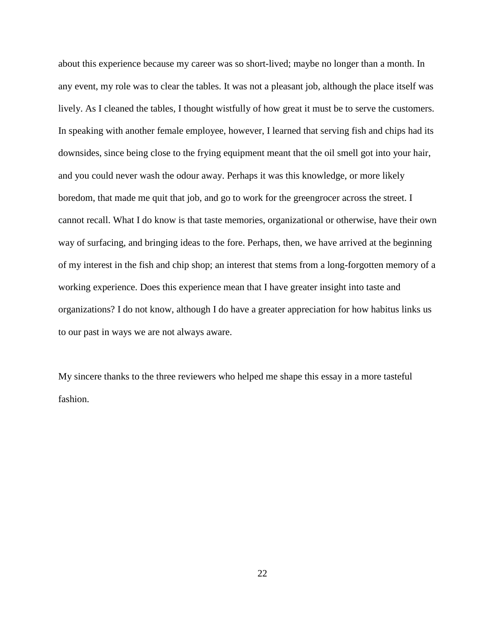about this experience because my career was so short-lived; maybe no longer than a month. In any event, my role was to clear the tables. It was not a pleasant job, although the place itself was lively. As I cleaned the tables, I thought wistfully of how great it must be to serve the customers. In speaking with another female employee, however, I learned that serving fish and chips had its downsides, since being close to the frying equipment meant that the oil smell got into your hair, and you could never wash the odour away. Perhaps it was this knowledge, or more likely boredom, that made me quit that job, and go to work for the greengrocer across the street. I cannot recall. What I do know is that taste memories, organizational or otherwise, have their own way of surfacing, and bringing ideas to the fore. Perhaps, then, we have arrived at the beginning of my interest in the fish and chip shop; an interest that stems from a long-forgotten memory of a working experience. Does this experience mean that I have greater insight into taste and organizations? I do not know, although I do have a greater appreciation for how habitus links us to our past in ways we are not always aware.

My sincere thanks to the three reviewers who helped me shape this essay in a more tasteful fashion.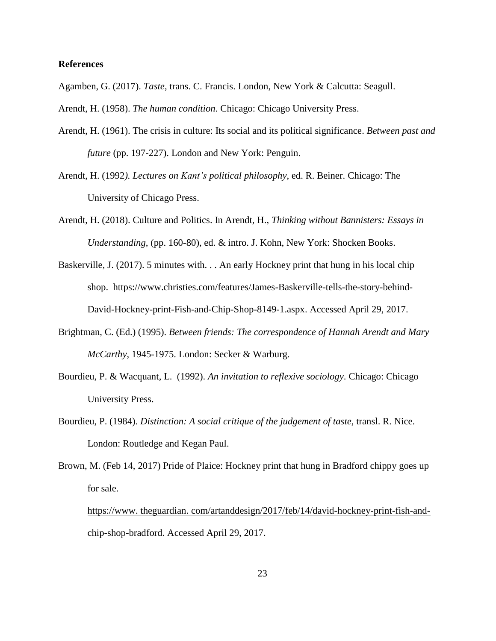### **References**

Agamben, G. (2017). *Taste*, trans. C. Francis. London, New York & Calcutta: Seagull.

Arendt, H. (1958). *The human condition*. Chicago: Chicago University Press.

- Arendt, H. (1961). The crisis in culture: Its social and its political significance. *Between past and future* (pp. 197-227). London and New York: Penguin.
- Arendt, H. (1992*). Lectures on Kant's political philosophy*, ed. R. Beiner. Chicago: The University of Chicago Press.
- Arendt, H. (2018). Culture and Politics. In Arendt, H., *Thinking without Bannisters: Essays in Understanding*, (pp. 160-80), ed. & intro. J. Kohn, New York: Shocken Books.
- Baskerville, J. (2017). 5 minutes with. . . An early Hockney print that hung in his local chip shop. https://www.christies.com/features/James-Baskerville-tells-the-story-behind-David-Hockney-print-Fish-and-Chip-Shop-8149-1.aspx. Accessed April 29, 2017.
- Brightman, C. (Ed.) (1995). *Between friends: The correspondence of Hannah Arendt and Mary McCarthy*, 1945-1975. London: Secker & Warburg.
- Bourdieu, P. & Wacquant, L. (1992). *An invitation to reflexive sociology*. Chicago: Chicago University Press.
- Bourdieu, P. (1984). *Distinction: A social critique of the judgement of taste*, transl. R. Nice. London: Routledge and Kegan Paul.
- Brown, M. (Feb 14, 2017) Pride of Plaice: Hockney print that hung in Bradford chippy goes up for sale.

https://www. theguardian. [com/artanddesign/2017/feb/14/david-hockney-print-fish-and](https://www.theguardian.com/artanddesign/2017/feb/14/david-hockney-print-fish-and-)chip-shop-bradford. Accessed April 29, 2017.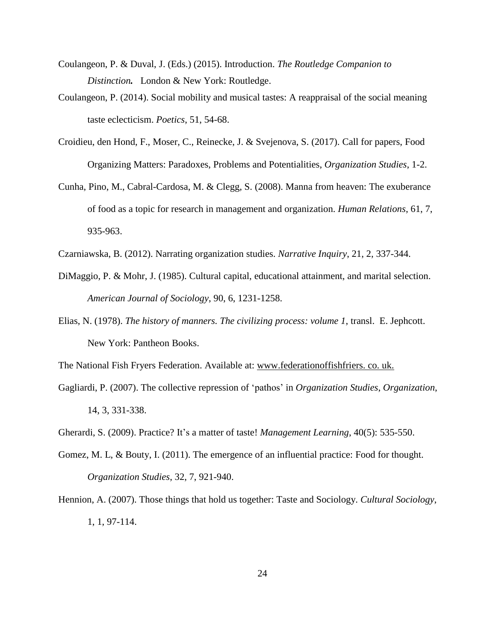- Coulangeon, P. & Duval, J. (Eds.) (2015). Introduction. *The Routledge Companion to Distinction.* London & New York: Routledge.
- Coulangeon, P. (2014). Social mobility and musical tastes: A reappraisal of the social meaning taste eclecticism. *Poetics*, 51, 54-68.
- Croidieu, den Hond, F., Moser, C., Reinecke, J. & Svejenova, S. (2017). Call for papers, Food Organizing Matters: Paradoxes, Problems and Potentialities, *Organization Studies*, 1-2.
- Cunha, Pino, M., Cabral-Cardosa, M. & Clegg, S. (2008). Manna from heaven: The exuberance of food as a topic for research in management and organization. *Human Relations*, 61, 7, 935-963.
- Czarniawska, B. (2012). Narrating organization studies. *Narrative Inquiry*, 21, 2, 337-344.
- DiMaggio, P. & Mohr, J. (1985). Cultural capital, educational attainment, and marital selection. *American Journal of Sociology*, 90, 6, 1231-1258.
- Elias, N. (1978). *The history of manners. The civilizing process: volume 1*, transl. E. Jephcott. New York: Pantheon Books.

The National Fish Fryers Federation. Available at: www.federationoffishfriers. co. uk.

- Gagliardi, P. (2007). The collective repression of 'pathos' in *Organization Studies*, *Organization*, 14, 3, 331-338.
- Gherardi, S. (2009). Practice? It's a matter of taste! *Management Learning*, 40(5): 535-550.
- Gomez, M. L, & Bouty, I. (2011). The emergence of an influential practice: Food for thought. *Organization Studies*, 32, 7, 921-940.
- Hennion, A. (2007). Those things that hold us together: Taste and Sociology. *Cultural Sociology*, 1, 1, 97-114.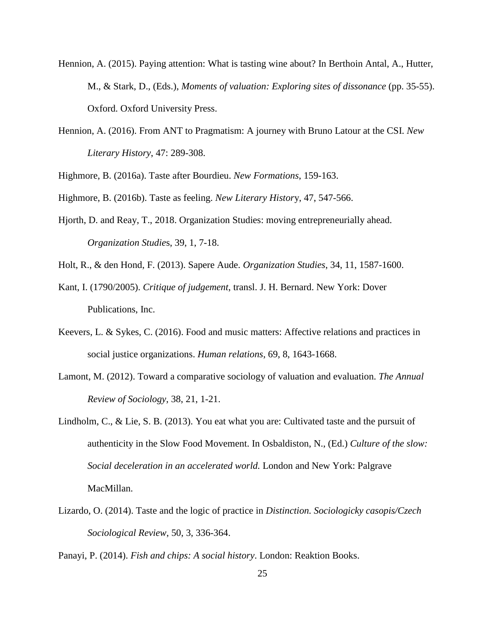- Hennion, A. (2015). Paying attention: What is tasting wine about? In Berthoin Antal, A., Hutter, M., & Stark, D., (Eds.), *Moments of valuation: Exploring sites of dissonance* (pp. 35-55). Oxford. Oxford University Press.
- Hennion, A. (2016). From ANT to Pragmatism: A journey with Bruno Latour at the CSI. *New Literary History*, 47: 289-308.

Highmore, B. (2016a). Taste after Bourdieu. *New Formations*, 159-163.

Highmore, B. (2016b). Taste as feeling. *New Literary Histor*y, 47, 547-566.

Hjorth, D. and Reay, T., 2018. Organization Studies: moving entrepreneurially ahead. *Organization Studie*s, 39, 1, 7-18.

Holt, R., & den Hond, F. (2013). Sapere Aude. *Organization Studies*, 34, 11, 1587-1600.

- Kant, I. (1790/2005). *Critique of judgement*, transl. J. H. Bernard. New York: Dover Publications, Inc.
- Keevers, L. & Sykes, C. (2016). Food and music matters: Affective relations and practices in social justice organizations. *Human relations*, 69, 8, 1643-1668.
- Lamont, M. (2012). Toward a comparative sociology of valuation and evaluation. *The Annual Review of Sociology*, 38, 21, 1-21.
- Lindholm, C., & Lie, S. B. (2013). You eat what you are: Cultivated taste and the pursuit of authenticity in the Slow Food Movement. In Osbaldiston, N., (Ed.) *Culture of the slow: Social deceleration in an accelerated world.* London and New York: Palgrave MacMillan.
- Lizardo, O. (2014). Taste and the logic of practice in *Distinction. Sociologicky casopis/Czech Sociological Review*, 50, 3, 336-364.

Panayi, P. (2014). *Fish and chips: A social history*. London: Reaktion Books.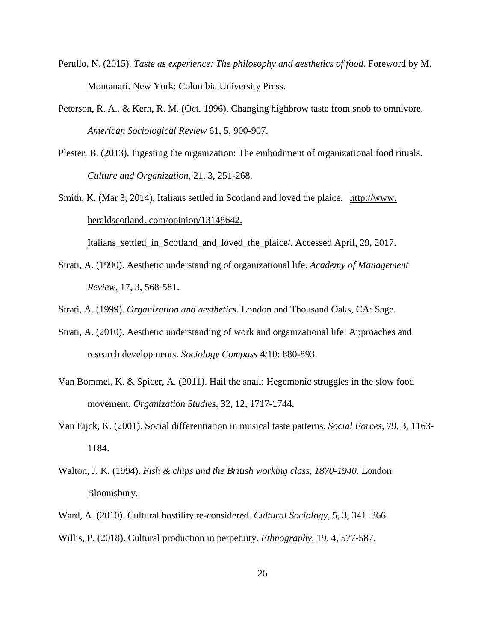- Perullo, N. (2015). *Taste as experience: The philosophy and aesthetics of food*. Foreword by M. Montanari. New York: Columbia University Press.
- Peterson, R. A., & Kern, R. M. (Oct. 1996). Changing highbrow taste from snob to omnivore. *American Sociological Review* 61, 5, 900-907.
- Plester, B. (2013). Ingesting the organization: The embodiment of organizational food rituals. *Culture and Organization*, 21, 3, 251-268.
- Smith, K. (Mar 3, 2014). Italians settled in Scotland and loved the plaice. [http://www.](http://www.heraldscotland.com/opinion/13148642.Italians_settled_in_Scotland_and_love) heraldscotland. [com/opinion/13148642.](http://www.heraldscotland.com/opinion/13148642.Italians_settled_in_Scotland_and_love)

[Italians\\_settled\\_in\\_Scotland\\_and\\_loved](http://www.heraldscotland.com/opinion/13148642.Italians_settled_in_Scotland_and_love)\_the\_plaice/. Accessed April, 29, 2017.

- Strati, A. (1990). Aesthetic understanding of organizational life. *Academy of Management Review*, 17, 3, 568-581.
- Strati, A. (1999). *Organization and aesthetics*. London and Thousand Oaks, CA: Sage.
- Strati, A. (2010). Aesthetic understanding of work and organizational life: Approaches and research developments. *Sociology Compass* 4/10: 880-893.
- Van Bommel, K. & Spicer, A. (2011). Hail the snail: Hegemonic struggles in the slow food movement. *Organization Studies*, 32, 12, 1717-1744.
- Van Eijck, K. (2001). Social differentiation in musical taste patterns. *Social Forces*, 79, 3, 1163- 1184.
- Walton, J. K. (1994). *Fish & chips and the British working class, 1870-1940*. London: Bloomsbury.
- Ward, A. (2010). Cultural hostility re-considered. *Cultural Sociology*, 5, 3, 341–366.
- Willis, P. (2018). Cultural production in perpetuity. *Ethnography*, 19, 4, 577-587.